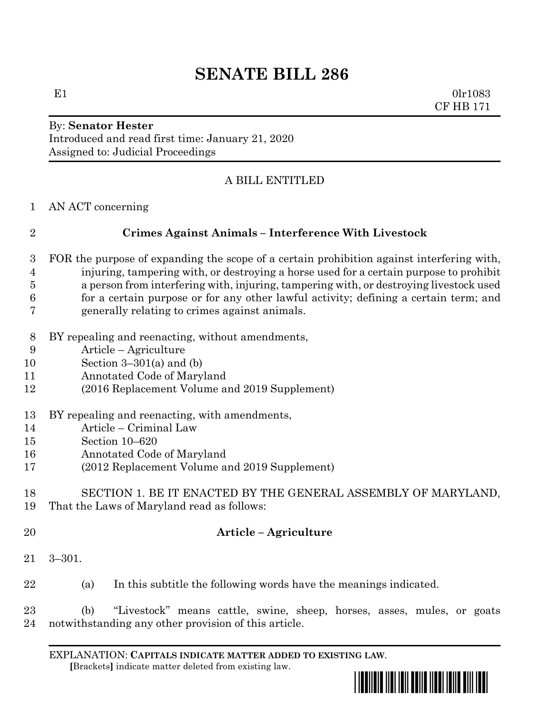# **SENATE BILL 286**

E1  $0 \text{lr} 1083$ CF HB 171

#### By: **Senator Hester** Introduced and read first time: January 21, 2020 Assigned to: Judicial Proceedings

## A BILL ENTITLED

AN ACT concerning

## **Crimes Against Animals – Interference With Livestock**

- FOR the purpose of expanding the scope of a certain prohibition against interfering with, injuring, tampering with, or destroying a horse used for a certain purpose to prohibit a person from interfering with, injuring, tampering with, or destroying livestock used for a certain purpose or for any other lawful activity; defining a certain term; and generally relating to crimes against animals.
- BY repealing and reenacting, without amendments,
- Article Agriculture
- Section 3–301(a) and (b)
- Annotated Code of Maryland
- (2016 Replacement Volume and 2019 Supplement)
- BY repealing and reenacting, with amendments,
- Article Criminal Law
- Section 10–620
- Annotated Code of Maryland
- (2012 Replacement Volume and 2019 Supplement)

#### SECTION 1. BE IT ENACTED BY THE GENERAL ASSEMBLY OF MARYLAND, That the Laws of Maryland read as follows:

### **Article – Agriculture**

- 3–301.
- (a) In this subtitle the following words have the meanings indicated.
- (b) "Livestock" means cattle, swine, sheep, horses, asses, mules, or goats notwithstanding any other provision of this article.

EXPLANATION: **CAPITALS INDICATE MATTER ADDED TO EXISTING LAW**.  **[**Brackets**]** indicate matter deleted from existing law.